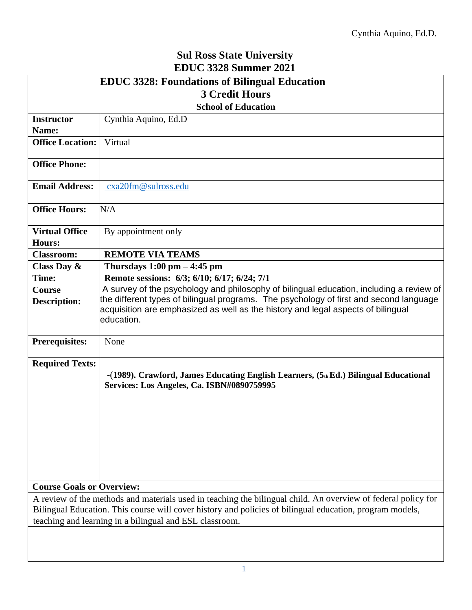## **Sul Ross State University EDUC 3328 Summer 2021**

| <b>EDUC 3328: Foundations of Bilingual Education</b>                                                                                                                |                                                                                                                                                                                          |  |  |  |  |  |
|---------------------------------------------------------------------------------------------------------------------------------------------------------------------|------------------------------------------------------------------------------------------------------------------------------------------------------------------------------------------|--|--|--|--|--|
| <b>3 Credit Hours</b>                                                                                                                                               |                                                                                                                                                                                          |  |  |  |  |  |
| <b>School of Education</b>                                                                                                                                          |                                                                                                                                                                                          |  |  |  |  |  |
| <b>Instructor</b>                                                                                                                                                   | Cynthia Aquino, Ed.D                                                                                                                                                                     |  |  |  |  |  |
| Name:                                                                                                                                                               |                                                                                                                                                                                          |  |  |  |  |  |
| <b>Office Location:</b>                                                                                                                                             | Virtual                                                                                                                                                                                  |  |  |  |  |  |
| <b>Office Phone:</b>                                                                                                                                                |                                                                                                                                                                                          |  |  |  |  |  |
| <b>Email Address:</b>                                                                                                                                               | cxa20fm@sulross.edu                                                                                                                                                                      |  |  |  |  |  |
| <b>Office Hours:</b>                                                                                                                                                | N/A                                                                                                                                                                                      |  |  |  |  |  |
| <b>Virtual Office</b><br>Hours:                                                                                                                                     | By appointment only                                                                                                                                                                      |  |  |  |  |  |
| <b>Classroom:</b>                                                                                                                                                   | <b>REMOTE VIA TEAMS</b>                                                                                                                                                                  |  |  |  |  |  |
| Class Day $\&$                                                                                                                                                      | Thursdays $1:00 \text{ pm} - 4:45 \text{ pm}$                                                                                                                                            |  |  |  |  |  |
| Time:                                                                                                                                                               | Remote sessions: 6/3; 6/10; 6/17; 6/24; 7/1                                                                                                                                              |  |  |  |  |  |
| <b>Course</b>                                                                                                                                                       | A survey of the psychology and philosophy of bilingual education, including a review of                                                                                                  |  |  |  |  |  |
| <b>Description:</b>                                                                                                                                                 | the different types of bilingual programs. The psychology of first and second language<br>acquisition are emphasized as well as the history and legal aspects of bilingual<br>education. |  |  |  |  |  |
| <b>Prerequisites:</b>                                                                                                                                               | None                                                                                                                                                                                     |  |  |  |  |  |
| <b>Required Texts:</b>                                                                                                                                              | -(1989). Crawford, James Educating English Learners, $(5th Ed.)$ Bilingual Educational<br>Services: Los Angeles, Ca. ISBN#0890759995                                                     |  |  |  |  |  |
| <b>Course Goals or Overview:</b>                                                                                                                                    |                                                                                                                                                                                          |  |  |  |  |  |
| A review of the methods and materials used in teaching the bilingual child. An overview of federal policy for                                                       |                                                                                                                                                                                          |  |  |  |  |  |
| Bilingual Education. This course will cover history and policies of bilingual education, program models,<br>teaching and learning in a bilingual and ESL classroom. |                                                                                                                                                                                          |  |  |  |  |  |
|                                                                                                                                                                     |                                                                                                                                                                                          |  |  |  |  |  |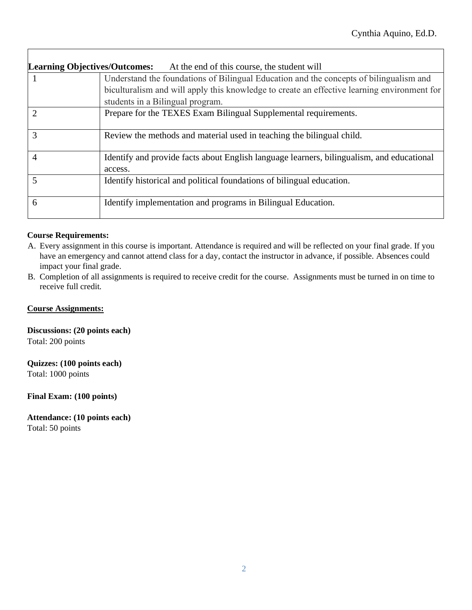| <b>Learning Objectives/Outcomes:</b><br>At the end of this course, the student will |                                                                                                      |  |  |  |  |  |
|-------------------------------------------------------------------------------------|------------------------------------------------------------------------------------------------------|--|--|--|--|--|
| 1                                                                                   | Understand the foundations of Bilingual Education and the concepts of bilingualism and               |  |  |  |  |  |
|                                                                                     | biculturalism and will apply this knowledge to create an effective learning environment for          |  |  |  |  |  |
|                                                                                     | students in a Bilingual program.                                                                     |  |  |  |  |  |
|                                                                                     | Prepare for the TEXES Exam Bilingual Supplemental requirements.                                      |  |  |  |  |  |
| 3                                                                                   | Review the methods and material used in teaching the bilingual child.                                |  |  |  |  |  |
| 4                                                                                   | Identify and provide facts about English language learners, bilingualism, and educational<br>access. |  |  |  |  |  |
|                                                                                     | Identify historical and political foundations of bilingual education.                                |  |  |  |  |  |
| 6                                                                                   | Identify implementation and programs in Bilingual Education.                                         |  |  |  |  |  |

## **Course Requirements:**

Г

- A. Every assignment in this course is important. Attendance is required and will be reflected on your final grade. If you have an emergency and cannot attend class for a day, contact the instructor in advance, if possible. Absences could impact your final grade.
- B. Completion of all assignments is required to receive credit for the course. Assignments must be turned in on time to receive full credit*.*

### **Course Assignments:**

**Discussions: (20 points each)** Total: 200 points

**Quizzes: (100 points each)**

Total: 1000 points

**Final Exam: (100 points)**

**Attendance: (10 points each)** Total: 50 points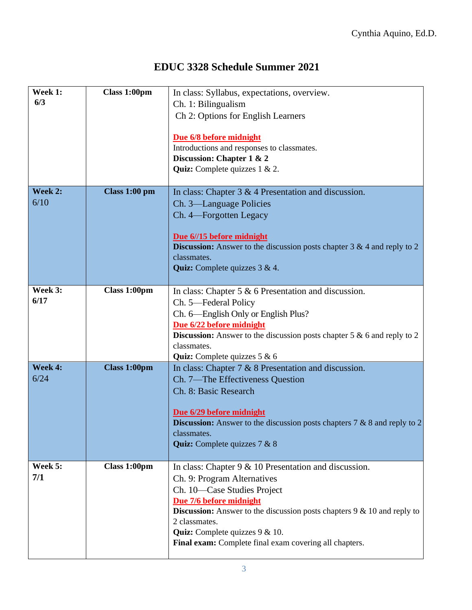# **EDUC 3328 Schedule Summer 2021**

| Week 1:<br>6/3  | Class 1:00pm        | In class: Syllabus, expectations, overview.<br>Ch. 1: Bilingualism<br>Ch 2: Options for English Learners<br>Due 6/8 before midnight<br>Introductions and responses to classmates.<br>Discussion: Chapter 1 & 2                                                                                                                                     |  |  |  |
|-----------------|---------------------|----------------------------------------------------------------------------------------------------------------------------------------------------------------------------------------------------------------------------------------------------------------------------------------------------------------------------------------------------|--|--|--|
|                 |                     | Quiz: Complete quizzes 1 & 2.                                                                                                                                                                                                                                                                                                                      |  |  |  |
| Week 2:<br>6/10 | Class 1:00 pm       | In class: Chapter $3 \& 4$ Presentation and discussion.<br>Ch. 3—Language Policies<br>Ch. 4—Forgotten Legacy<br>Due 6//15 before midnight<br><b>Discussion:</b> Answer to the discussion posts chapter $3 \& 4$ and reply to 2<br>classmates.<br>Quiz: Complete quizzes 3 & 4.                                                                     |  |  |  |
| Week 3:<br>6/17 | Class 1:00pm        | In class: Chapter 5 $\&$ 6 Presentation and discussion.<br>Ch. 5-Federal Policy<br>Ch. 6—English Only or English Plus?<br>Due 6/22 before midnight<br><b>Discussion:</b> Answer to the discussion posts chapter $5 \& 6$ and reply to 2<br>classmates.<br>Quiz: Complete quizzes 5 & 6                                                             |  |  |  |
| Week 4:<br>6/24 | <b>Class 1:00pm</b> | In class: Chapter $7 & 8$ 8 Presentation and discussion.<br>Ch. 7—The Effectiveness Question<br>Ch. 8: Basic Research<br>Due 6/29 before midnight<br><b>Discussion:</b> Answer to the discussion posts chapters $7 & 8$ and reply to 2<br>classmates.<br>Quiz: Complete quizzes 7 & 8                                                              |  |  |  |
| Week 5:<br>7/1  | Class 1:00pm        | In class: Chapter $9 & 10$ Presentation and discussion.<br>Ch. 9: Program Alternatives<br>Ch. 10-Case Studies Project<br>Due 7/6 before midnight<br><b>Discussion:</b> Answer to the discussion posts chapters $9 \& 10$ and reply to<br>2 classmates.<br>Quiz: Complete quizzes 9 & 10.<br>Final exam: Complete final exam covering all chapters. |  |  |  |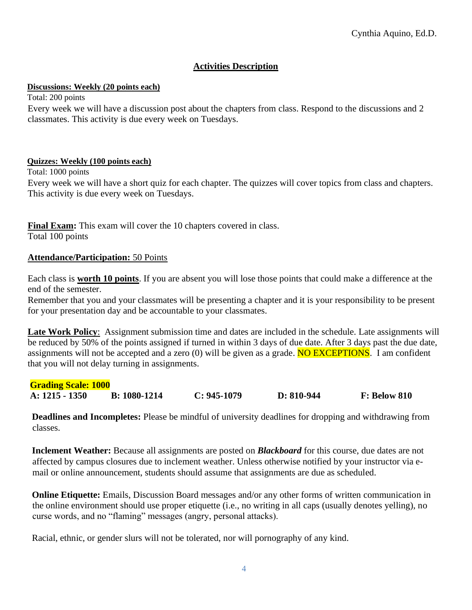## **Activities Description**

## **Discussions: Weekly (20 points each)**

Total: 200 points

Every week we will have a discussion post about the chapters from class. Respond to the discussions and 2 classmates. This activity is due every week on Tuesdays.

### **Quizzes: Weekly (100 points each)**

Total: 1000 points

Every week we will have a short quiz for each chapter. The quizzes will cover topics from class and chapters. This activity is due every week on Tuesdays.

**Final Exam:** This exam will cover the 10 chapters covered in class. Total 100 points

## **Attendance/Participation:** 50 Points

Each class is **worth 10 points**. If you are absent you will lose those points that could make a difference at the end of the semester.

Remember that you and your classmates will be presenting a chapter and it is your responsibility to be present for your presentation day and be accountable to your classmates.

**Late Work Policy**: Assignment submission time and dates are included in the schedule. Late assignments will be reduced by 50% of the points assigned if turned in within 3 days of due date. After 3 days past the due date, assignments will not be accepted and a zero  $(0)$  will be given as a grade. **NO EXCEPTIONS**. I am confident that you will not delay turning in assignments.

| <b>Grading Scale: 1000</b> |                |               |              |                     |
|----------------------------|----------------|---------------|--------------|---------------------|
| $A: 1215 - 1350$           | $B: 1080-1214$ | $C: 945-1079$ | $D: 810-944$ | <b>F: Below 810</b> |

**Deadlines and Incompletes:** Please be mindful of university deadlines for dropping and withdrawing from classes.

**Inclement Weather:** Because all assignments are posted on *Blackboard* for this course, due dates are not affected by campus closures due to inclement weather. Unless otherwise notified by your instructor via email or online announcement, students should assume that assignments are due as scheduled.

**Online Etiquette:** Emails, Discussion Board messages and/or any other forms of written communication in the online environment should use proper etiquette (i.e., no writing in all caps (usually denotes yelling), no curse words, and no "flaming" messages (angry, personal attacks).

Racial, ethnic, or gender slurs will not be tolerated, nor will pornography of any kind.